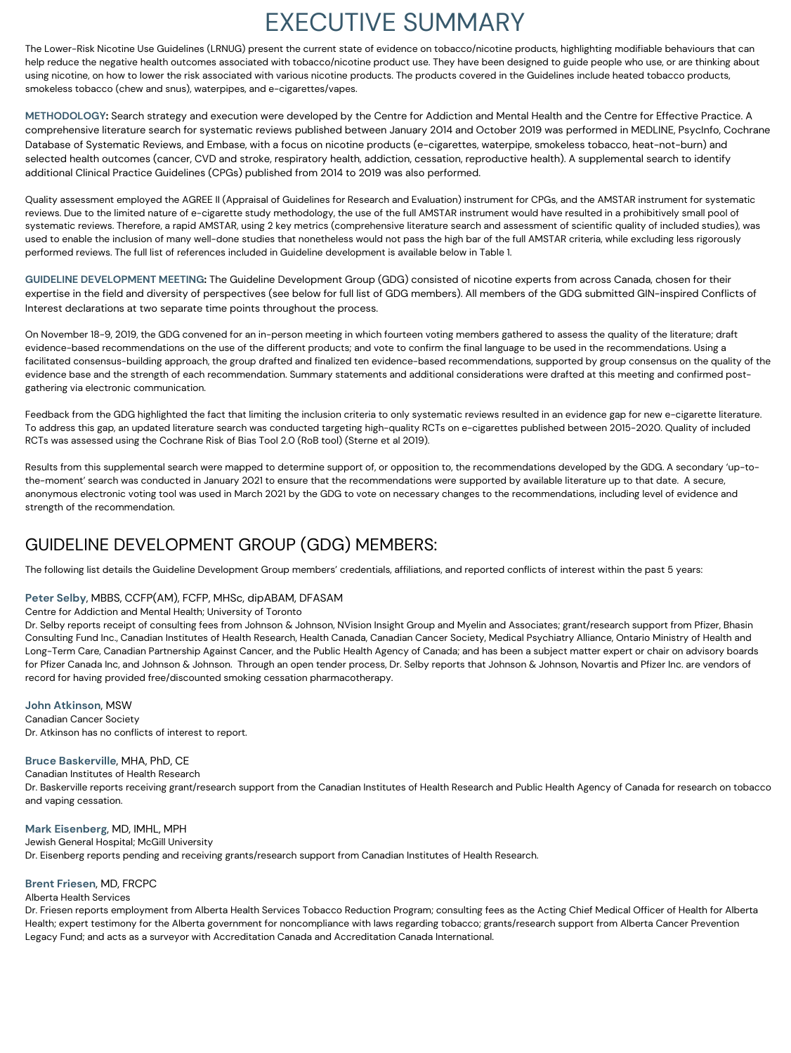# EXECUTIVE SUMMARY

The Lower-Risk Nicotine Use Guidelines (LRNUG) present the current state of evidence on tobacco/nicotine products, highlighting modifiable behaviours that can help reduce the negative health outcomes associated with tobacco/nicotine product use. They have been designed to guide people who use, or are thinking about using nicotine, on how to lower the risk associated with various nicotine products. The products covered in the Guidelines include heated tobacco products, smokeless tobacco (chew and snus), waterpipes, and e-cigarettes/vapes.

**METHODOLOGY:** Search strategy and execution were developed by the Centre for Addiction and Mental Health and the Centre for Effective Practice. A comprehensive literature search for systematic reviews published between January 2014 and October 2019 was performed in MEDLINE, PsycInfo, Cochrane Database of Systematic Reviews, and Embase, with a focus on nicotine products (e-cigarettes, waterpipe, smokeless tobacco, heat-not-burn) and selected health outcomes (cancer, CVD and stroke, respiratory health, addiction, cessation, reproductive health). A supplemental search to identify additional Clinical Practice Guidelines (CPGs) published from 2014 to 2019 was also performed.

Quality assessment employed the AGREE II (Appraisal of Guidelines for Research and Evaluation) instrument for CPGs, and the AMSTAR instrument for systematic reviews. Due to the limited nature of e-cigarette study methodology, the use of the full AMSTAR instrument would have resulted in a prohibitively small pool of systematic reviews. Therefore, a rapid AMSTAR, using 2 key metrics (comprehensive literature search and assessment of scientific quality of included studies), was used to enable the inclusion of many well-done studies that nonetheless would not pass the high bar of the full AMSTAR criteria, while excluding less rigorously performed reviews. The full list of references included in Guideline development is available below in Table 1.

**GUIDELINE DEVELOPMENT MEETING:** The Guideline Development Group (GDG) consisted of nicotine experts from across Canada, chosen for their expertise in the field and diversity of perspectives (see below for full list of GDG members). All members of the GDG submitted GIN-inspired Conflicts of Interest declarations at two separate time points throughout the process.

On November 18-9, 2019, the GDG convened for an in-person meeting in which fourteen voting members gathered to assess the quality of the literature; draft evidence-based recommendations on the use of the different products; and vote to confirm the final language to be used in the recommendations. Using a facilitated consensus-building approach, the group drafted and finalized ten evidence-based recommendations, supported by group consensus on the quality of the evidence base and the strength of each recommendation. Summary statements and additional considerations were drafted at this meeting and confirmed postgathering via electronic communication.

Feedback from the GDG highlighted the fact that limiting the inclusion criteria to only systematic reviews resulted in an evidence gap for new e-cigarette literature. To address this gap, an updated literature search was conducted targeting high-quality RCTs on e-cigarettes published between 2015-2020. Quality of included RCTs was assessed using the Cochrane Risk of Bias Tool 2.0 (RoB tool) (Sterne et al 2019).

Results from this supplemental search were mapped to determine support of, or opposition to, the recommendations developed by the GDG. A secondary 'up-tothe-moment' search was conducted in January 2021 to ensure that the recommendations were supported by available literature up to that date. A secure, anonymous electronic voting tool was used in March 2021 by the GDG to vote on necessary changes to the recommendations, including level of evidence and strength of the recommendation.

# GUIDELINE DEVELOPMENT GROUP (GDG) MEMBERS:

The following list details the Guideline Development Group members' credentials, affiliations, and reported conflicts of interest within the past 5 years:

## **Peter Selby**, MBBS, CCFP(AM), FCFP, MHSc, dipABAM, DFASAM

### Centre for Addiction and Mental Health; University of Toronto

Dr. Selby reports receipt of consulting fees from Johnson & Johnson, NVision Insight Group and Myelin and Associates; grant/research support from Pfizer, Bhasin Consulting Fund Inc., Canadian Institutes of Health Research, Health Canada, Canadian Cancer Society, Medical Psychiatry Alliance, Ontario Ministry of Health and Long-Term Care, Canadian Partnership Against Cancer, and the Public Health Agency of Canada; and has been a subject matter expert or chair on advisory boards for Pfizer Canada Inc, and Johnson & Johnson. Through an open tender process, Dr. Selby reports that Johnson & Johnson, Novartis and Pfizer Inc. are vendors of record for having provided free/discounted smoking cessation pharmacotherapy.

**John Atkinson**, MSW Canadian Cancer Society Dr. Atkinson has no conflicts of interest to report.

#### **Bruce Baskerville**, MHA, PhD, CE

Canadian Institutes of Health Research

Dr. Baskerville reports receiving grant/research support from the Canadian Institutes of Health Research and Public Health Agency of Canada for research on tobacco and vaping cessation.

#### **Mark Eisenberg**, MD, IMHL, MPH

Jewish General Hospital; McGill University Dr. Eisenberg reports pending and receiving grants/research support from Canadian Institutes of Health Research.

#### **Brent Friesen**, MD, FRCPC

#### Alberta Health Services

Dr. Friesen reports employment from Alberta Health Services Tobacco Reduction Program; consulting fees as the Acting Chief Medical Officer of Health for Alberta Health; expert testimony for the Alberta government for noncompliance with laws regarding tobacco; grants/research support from Alberta Cancer Prevention Legacy Fund; and acts as a surveyor with Accreditation Canada and Accreditation Canada International.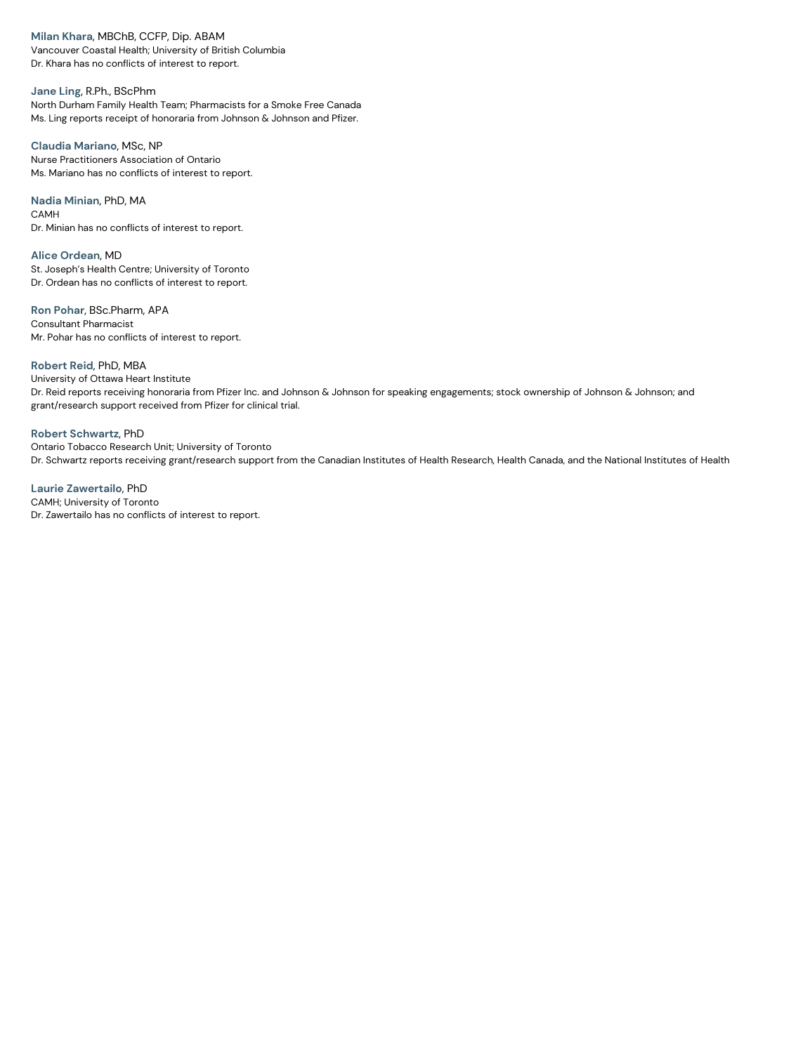**Milan Khara**, MBChB, CCFP, Dip. ABAM

Vancouver Coastal Health; University of British Columbia Dr. Khara has no conflicts of interest to report.

**Jane Ling**, R.Ph., BScPhm North Durham Family Health Team; Pharmacists for a Smoke Free Canada Ms. Ling reports receipt of honoraria from Johnson & Johnson and Pfizer.

**Claudia Mariano**, MSc, NP Nurse Practitioners Association of Ontario Ms. Mariano has no conflicts of interest to report.

**Nadia Minian**, PhD, MA CAMH Dr. Minian has no conflicts of interest to report.

**Alice Ordean**, MD St. Joseph's Health Centre; University of Toronto Dr. Ordean has no conflicts of interest to report.

**Ron Pohar**, BSc.Pharm, APA Consultant Pharmacist Mr. Pohar has no conflicts of interest to report.

**Robert Reid**, PhD, MBA University of Ottawa Heart Institute Dr. Reid reports receiving honoraria from Pfizer Inc. and Johnson & Johnson for speaking engagements; stock ownership of Johnson & Johnson; and grant/research support received from Pfizer for clinical trial.

**Robert Schwartz**, PhD Ontario Tobacco Research Unit; University of Toronto Dr. Schwartz reports receiving grant/research support from the Canadian Institutes of Health Research, Health Canada, and the National Institutes of Health

**Laurie Zawertailo**, PhD CAMH; University of Toronto Dr. Zawertailo has no conflicts of interest to report.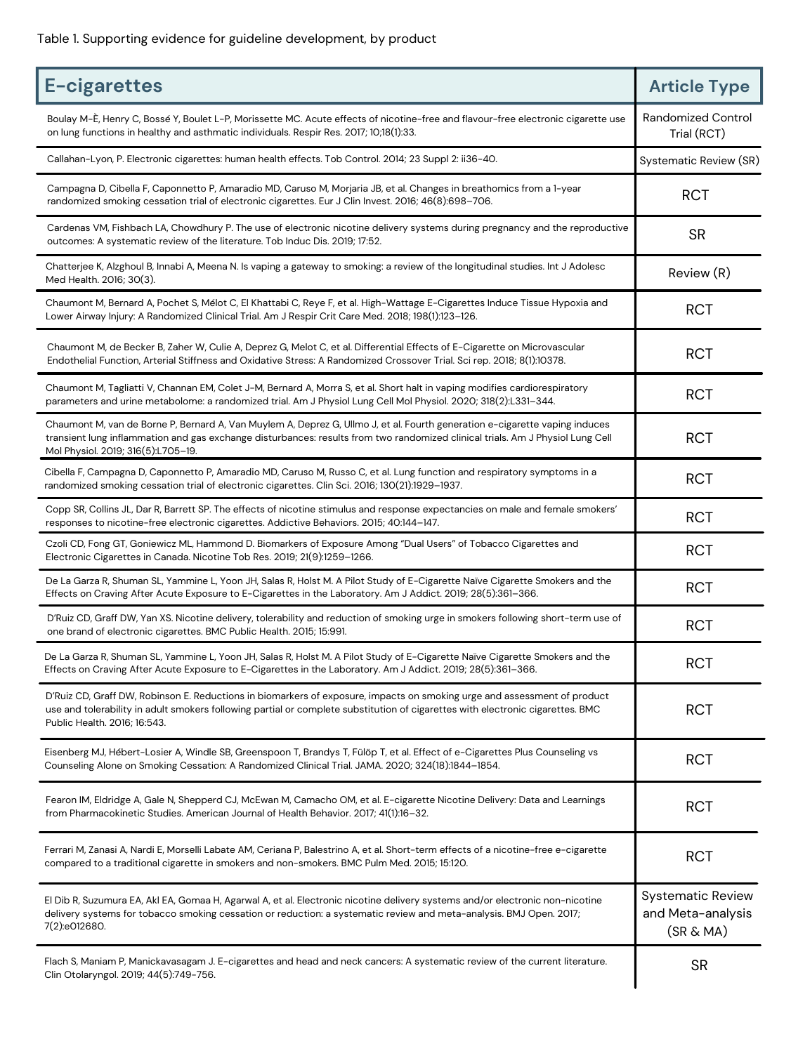| E-cigarettes                                                                                                                                                                                                                                                                                        | <b>Article Type</b>                                        |
|-----------------------------------------------------------------------------------------------------------------------------------------------------------------------------------------------------------------------------------------------------------------------------------------------------|------------------------------------------------------------|
| Boulay M-È, Henry C, Bossé Y, Boulet L-P, Morissette MC. Acute effects of nicotine-free and flavour-free electronic cigarette use<br>on lung functions in healthy and asthmatic individuals. Respir Res. 2017; 10;18(1):33.                                                                         | <b>Randomized Control</b><br>Trial (RCT)                   |
| Callahan-Lyon, P. Electronic cigarettes: human health effects. Tob Control. 2014; 23 Suppl 2: ii36-40.                                                                                                                                                                                              | <b>Systematic Review (SR)</b>                              |
| Campagna D, Cibella F, Caponnetto P, Amaradio MD, Caruso M, Morjaria JB, et al. Changes in breathomics from a 1-year<br>randomized smoking cessation trial of electronic cigarettes. Eur J Clin Invest. 2016; 46(8):698-706.                                                                        | <b>RCT</b>                                                 |
| Cardenas VM, Fishbach LA, Chowdhury P. The use of electronic nicotine delivery systems during pregnancy and the reproductive<br>outcomes: A systematic review of the literature. Tob Induc Dis. 2019; 17:52.                                                                                        | <b>SR</b>                                                  |
| Chatterjee K, Alzghoul B, Innabi A, Meena N. Is vaping a gateway to smoking: a review of the longitudinal studies. Int J Adolesc<br>Med Health. 2016; 30(3).                                                                                                                                        | Review (R)                                                 |
| Chaumont M, Bernard A, Pochet S, Mélot C, El Khattabi C, Reye F, et al. High-Wattage E-Cigarettes Induce Tissue Hypoxia and<br>Lower Airway Injury: A Randomized Clinical Trial. Am J Respir Crit Care Med. 2018; 198(1):123-126.                                                                   | <b>RCT</b>                                                 |
| Chaumont M, de Becker B, Zaher W, Culie A, Deprez G, Melot C, et al. Differential Effects of E-Cigarette on Microvascular<br>Endothelial Function, Arterial Stiffness and Oxidative Stress: A Randomized Crossover Trial. Sci rep. 2018; 8(1):10378.                                                | <b>RCT</b>                                                 |
| Chaumont M, Tagliatti V, Channan EM, Colet J-M, Bernard A, Morra S, et al. Short halt in vaping modifies cardiorespiratory<br>parameters and urine metabolome: a randomized trial. Am J Physiol Lung Cell Mol Physiol. 2020; 318(2):L331-344.                                                       | <b>RCT</b>                                                 |
| Chaumont M, van de Borne P, Bernard A, Van Muylem A, Deprez G, Ullmo J, et al. Fourth generation e-cigarette vaping induces<br>transient lung inflammation and gas exchange disturbances: results from two randomized clinical trials. Am J Physiol Lung Cell<br>Mol Physiol. 2019; 316(5):L705-19. | <b>RCT</b>                                                 |
| Cibella F, Campagna D, Caponnetto P, Amaradio MD, Caruso M, Russo C, et al. Lung function and respiratory symptoms in a<br>randomized smoking cessation trial of electronic cigarettes. Clin Sci. 2016; 130(21):1929-1937.                                                                          | <b>RCT</b>                                                 |
| Copp SR, Collins JL, Dar R, Barrett SP. The effects of nicotine stimulus and response expectancies on male and female smokers'<br>responses to nicotine-free electronic cigarettes. Addictive Behaviors. 2015; 40:144-147.                                                                          | <b>RCT</b>                                                 |
| Czoli CD, Fong GT, Goniewicz ML, Hammond D. Biomarkers of Exposure Among "Dual Users" of Tobacco Cigarettes and<br>Electronic Cigarettes in Canada. Nicotine Tob Res. 2019; 21(9):1259-1266.                                                                                                        | <b>RCT</b>                                                 |
| De La Garza R, Shuman SL, Yammine L, Yoon JH, Salas R, Holst M. A Pilot Study of E-Cigarette Naïve Cigarette Smokers and the<br>Effects on Craving After Acute Exposure to E-Cigarettes in the Laboratory. Am J Addict. 2019; 28(5):361-366.                                                        | <b>RCT</b>                                                 |
| D'Ruiz CD, Graff DW, Yan XS. Nicotine delivery, tolerability and reduction of smoking urge in smokers following short-term use of<br>one brand of electronic cigarettes. BMC Public Health. 2015; 15:991.                                                                                           | <b>RCT</b>                                                 |
| De La Garza R, Shuman SL, Yammine L, Yoon JH, Salas R, Holst M. A Pilot Study of E-Cigarette Naïve Cigarette Smokers and the<br>Effects on Craving After Acute Exposure to E-Cigarettes in the Laboratory. Am J Addict. 2019; 28(5):361-366.                                                        | <b>RCT</b>                                                 |
| D'Ruiz CD, Graff DW, Robinson E. Reductions in biomarkers of exposure, impacts on smoking urge and assessment of product<br>use and tolerability in adult smokers following partial or complete substitution of cigarettes with electronic cigarettes. BMC<br>Public Health. 2016; 16:543.          | <b>RCT</b>                                                 |
| Eisenberg MJ, Hébert-Losier A, Windle SB, Greenspoon T, Brandys T, Fülöp T, et al. Effect of e-Cigarettes Plus Counseling vs<br>Counseling Alone on Smoking Cessation: A Randomized Clinical Trial. JAMA. 2020; 324(18):1844-1854.                                                                  | <b>RCT</b>                                                 |
| Fearon IM, Eldridge A, Gale N, Shepperd CJ, McEwan M, Camacho OM, et al. E-cigarette Nicotine Delivery: Data and Learnings<br>from Pharmacokinetic Studies. American Journal of Health Behavior. 2017; 41(1):16-32.                                                                                 | <b>RCT</b>                                                 |
| Ferrari M, Zanasi A, Nardi E, Morselli Labate AM, Ceriana P, Balestrino A, et al. Short-term effects of a nicotine-free e-cigarette<br>compared to a traditional cigarette in smokers and non-smokers. BMC Pulm Med. 2015; 15:120.                                                                  | <b>RCT</b>                                                 |
| El Dib R, Suzumura EA, Akl EA, Gomaa H, Agarwal A, et al. Electronic nicotine delivery systems and/or electronic non-nicotine<br>delivery systems for tobacco smoking cessation or reduction: a systematic review and meta-analysis. BMJ Open. 2017;<br>7(2):e012680.                               | <b>Systematic Review</b><br>and Meta-analysis<br>(SR & MA) |
| Flach S, Maniam P, Manickavasagam J. E-cigarettes and head and neck cancers: A systematic review of the current literature.<br>Clin Otolaryngol. 2019; 44(5):749-756.                                                                                                                               | <b>SR</b>                                                  |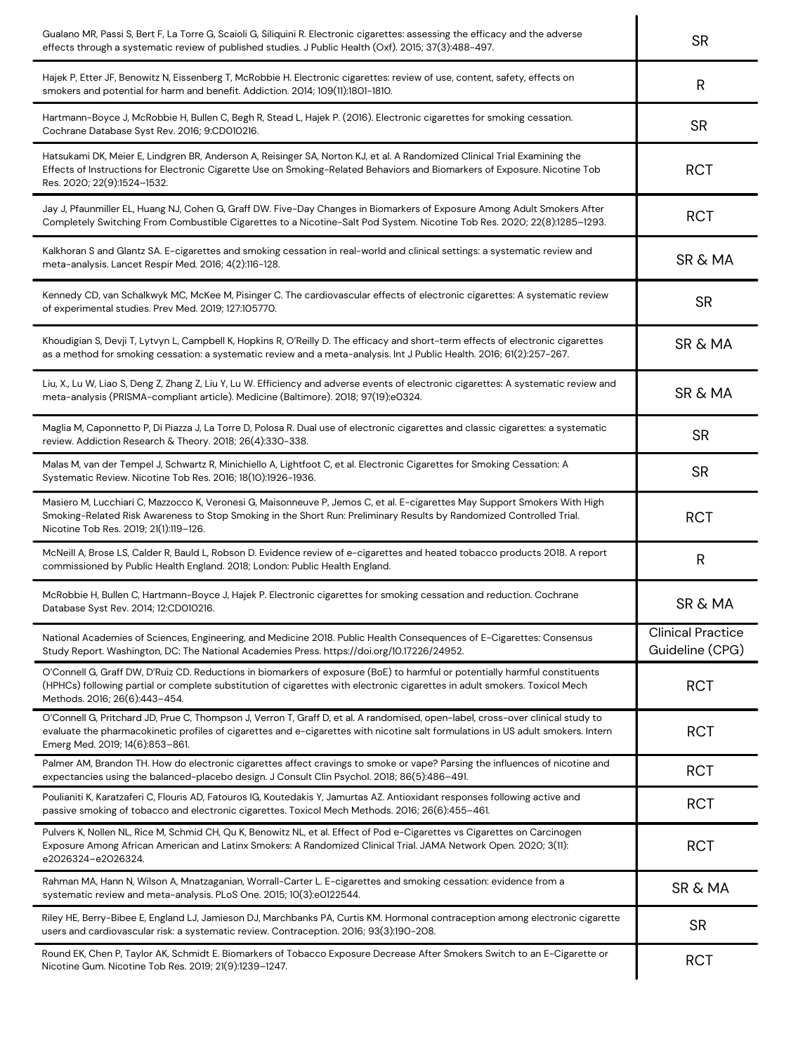| Gualano MR, Passi S, Bert F, La Torre G, Scaioli G, Siliquini R. Electronic cigarettes: assessing the efficacy and the adverse<br>effects through a systematic review of published studies. J Public Health (Oxf). 2015; 37(3):488-497.                                                                | <b>SR</b>                                   |
|--------------------------------------------------------------------------------------------------------------------------------------------------------------------------------------------------------------------------------------------------------------------------------------------------------|---------------------------------------------|
| Hajek P, Etter JF, Benowitz N, Eissenberg T, McRobbie H. Electronic cigarettes: review of use, content, safety, effects on<br>smokers and potential for harm and benefit. Addiction. 2014; 109(11):1801-1810.                                                                                          | R                                           |
| Hartmann-Boyce J, McRobbie H, Bullen C, Begh R, Stead L, Hajek P. (2016). Electronic cigarettes for smoking cessation.<br>Cochrane Database Syst Rev. 2016; 9:CD010216.                                                                                                                                | <b>SR</b>                                   |
| Hatsukami DK, Meier E, Lindgren BR, Anderson A, Reisinger SA, Norton KJ, et al. A Randomized Clinical Trial Examining the<br>Effects of Instructions for Electronic Cigarette Use on Smoking-Related Behaviors and Biomarkers of Exposure. Nicotine Tob<br>Res. 2020; 22(9):1524-1532.                 | <b>RCT</b>                                  |
| Jay J, Pfaunmiller EL, Huang NJ, Cohen G, Graff DW. Five-Day Changes in Biomarkers of Exposure Among Adult Smokers After<br>Completely Switching From Combustible Cigarettes to a Nicotine-Salt Pod System. Nicotine Tob Res. 2020; 22(8):1285–1293.                                                   | <b>RCT</b>                                  |
| Kalkhoran S and Glantz SA. E-cigarettes and smoking cessation in real-world and clinical settings: a systematic review and<br>meta-analysis. Lancet Respir Med. 2016; 4(2):116-128.                                                                                                                    | <b>SR &amp; MA</b>                          |
| Kennedy CD, van Schalkwyk MC, McKee M, Pisinger C. The cardiovascular effects of electronic cigarettes: A systematic review<br>of experimental studies. Prev Med. 2019; 127:105770.                                                                                                                    | <b>SR</b>                                   |
| Khoudigian S, Devji T, Lytvyn L, Campbell K, Hopkins R, O'Reilly D. The efficacy and short-term effects of electronic cigarettes<br>as a method for smoking cessation: a systematic review and a meta-analysis. Int J Public Health. 2016; 61(2):257-267.                                              | <b>SR &amp; MA</b>                          |
| Liu, X., Lu W, Liao S, Deng Z, Zhang Z, Liu Y, Lu W. Efficiency and adverse events of electronic cigarettes: A systematic review and<br>meta-analysis (PRISMA-compliant article). Medicine (Baltimore). 2018; 97(19):e0324.                                                                            | <b>SR &amp; MA</b>                          |
| Maglia M, Caponnetto P, Di Piazza J, La Torre D, Polosa R. Dual use of electronic cigarettes and classic cigarettes: a systematic<br>review. Addiction Research & Theory. 2018; 26(4):330-338.                                                                                                         | <b>SR</b>                                   |
| Malas M, van der Tempel J, Schwartz R, Minichiello A, Lightfoot C, et al. Electronic Cigarettes for Smoking Cessation: A<br>Systematic Review. Nicotine Tob Res. 2016; 18(10):1926-1936.                                                                                                               | <b>SR</b>                                   |
| Masiero M, Lucchiari C, Mazzocco K, Veronesi G, Maisonneuve P, Jemos C, et al. E-cigarettes May Support Smokers With High<br>Smoking-Related Risk Awareness to Stop Smoking in the Short Run: Preliminary Results by Randomized Controlled Trial.<br>Nicotine Tob Res. 2019; 21(1):119-126.            | <b>RCT</b>                                  |
| McNeill A, Brose LS, Calder R, Bauld L, Robson D. Evidence review of e-cigarettes and heated tobacco products 2018. A report<br>commissioned by Public Health England. 2018; London: Public Health England.                                                                                            | R                                           |
| McRobbie H, Bullen C, Hartmann-Boyce J, Hajek P. Electronic cigarettes for smoking cessation and reduction. Cochrane<br>Database Syst Rev. 2014; 12:CD010216.                                                                                                                                          | <b>SR &amp; MA</b>                          |
| National Academies of Sciences, Engineering, and Medicine 2018. Public Health Consequences of E-Cigarettes: Consensus<br>Study Report. Washington, DC: The National Academies Press. https://doi.org/10.17226/24952.                                                                                   | <b>Clinical Practice</b><br>Guideline (CPG) |
| O'Connell G, Graff DW, D'Ruiz CD. Reductions in biomarkers of exposure (BoE) to harmful or potentially harmful constituents<br>(HPHCs) following partial or complete substitution of cigarettes with electronic cigarettes in adult smokers. Toxicol Mech<br>Methods. 2016; 26(6):443-454.             | <b>RCT</b>                                  |
| O'Connell G, Pritchard JD, Prue C, Thompson J, Verron T, Graff D, et al. A randomised, open-label, cross-over clinical study to<br>evaluate the pharmacokinetic profiles of cigarettes and e-cigarettes with nicotine salt formulations in US adult smokers. Intern<br>Emerg Med. 2019; 14(6):853-861. | <b>RCT</b>                                  |
| Palmer AM, Brandon TH. How do electronic cigarettes affect cravings to smoke or vape? Parsing the influences of nicotine and<br>expectancies using the balanced-placebo design. J Consult Clin Psychol. 2018; 86(5):486-491.                                                                           | <b>RCT</b>                                  |
| Poulianiti K, Karatzaferi C, Flouris AD, Fatouros IG, Koutedakis Y, Jamurtas AZ. Antioxidant responses following active and<br>passive smoking of tobacco and electronic cigarettes. Toxicol Mech Methods. 2016; 26(6):455-461.                                                                        | <b>RCT</b>                                  |
| Pulvers K, Nollen NL, Rice M, Schmid CH, Qu K, Benowitz NL, et al. Effect of Pod e-Cigarettes vs Cigarettes on Carcinogen<br>Exposure Among African American and Latinx Smokers: A Randomized Clinical Trial. JAMA Network Open. 2020; 3(11):<br>e2026324-e2026324.                                    | RC <sub>1</sub>                             |
| Rahman MA, Hann N, Wilson A, Mnatzaganian, Worrall-Carter L. E-cigarettes and smoking cessation: evidence from a<br>systematic review and meta-analysis. PLoS One. 2015; 10(3):e0122544.                                                                                                               | <b>SR &amp; MA</b>                          |
| Riley HE, Berry-Bibee E, England LJ, Jamieson DJ, Marchbanks PA, Curtis KM. Hormonal contraception among electronic cigarette<br>users and cardiovascular risk: a systematic review. Contraception. 2016; 93(3):190-208.                                                                               | <b>SR</b>                                   |
| Round EK, Chen P, Taylor AK, Schmidt E. Biomarkers of Tobacco Exposure Decrease After Smokers Switch to an E-Cigarette or<br>Nicotine Gum. Nicotine Tob Res. 2019; 21(9):1239-1247.                                                                                                                    | <b>RCT</b>                                  |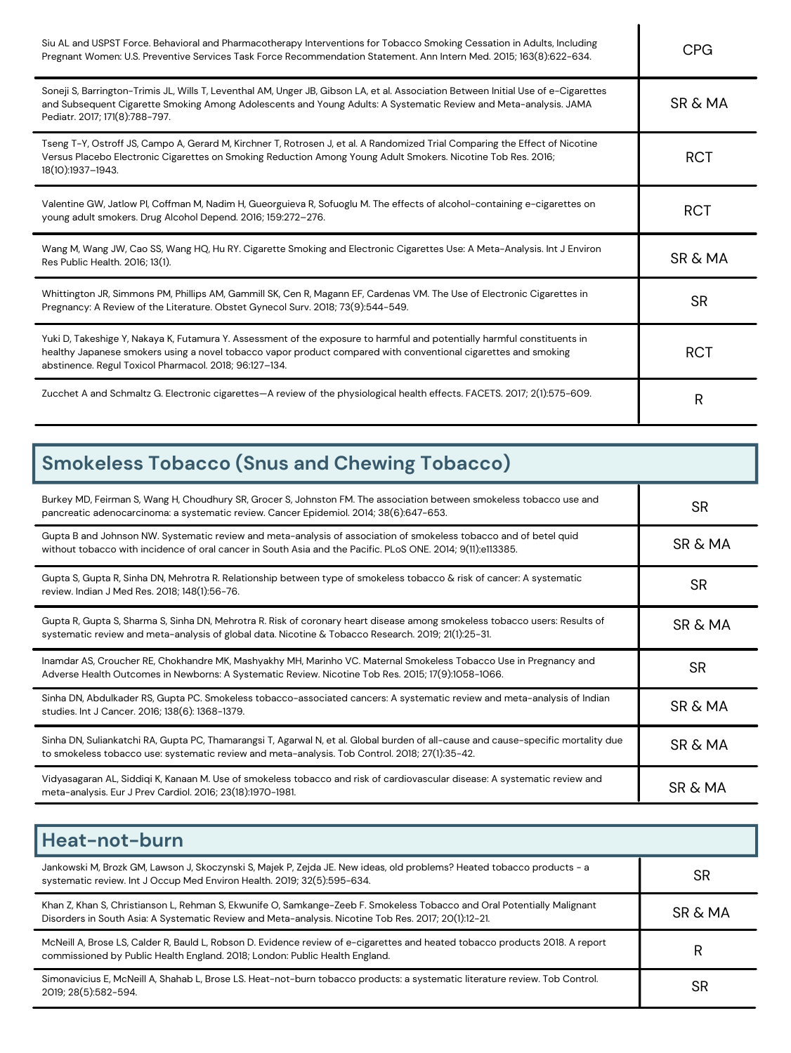| Siu AL and USPST Force. Behavioral and Pharmacotherapy Interventions for Tobacco Smoking Cessation in Adults, Including<br>Pregnant Women: U.S. Preventive Services Task Force Recommendation Statement. Ann Intern Med. 2015; 163(8):622-634.                                                       | <b>CPG</b>         |
|------------------------------------------------------------------------------------------------------------------------------------------------------------------------------------------------------------------------------------------------------------------------------------------------------|--------------------|
| Soneji S, Barrington-Trimis JL, Wills T, Leventhal AM, Unger JB, Gibson LA, et al. Association Between Initial Use of e-Cigarettes<br>and Subsequent Cigarette Smoking Among Adolescents and Young Adults: A Systematic Review and Meta-analysis. JAMA<br>Pediatr. 2017; 171(8):788-797.             | <b>SR &amp; MA</b> |
| Tseng T-Y, Ostroff JS, Campo A, Gerard M, Kirchner T, Rotrosen J, et al. A Randomized Trial Comparing the Effect of Nicotine<br>Versus Placebo Electronic Cigarettes on Smoking Reduction Among Young Adult Smokers. Nicotine Tob Res. 2016;<br>18(10):1937-1943.                                    | <b>RCT</b>         |
| Valentine GW, Jatlow PI, Coffman M, Nadim H, Gueorguieva R, Sofuoglu M. The effects of alcohol-containing e-cigarettes on<br>young adult smokers. Drug Alcohol Depend. 2016; 159:272-276.                                                                                                            | <b>RCT</b>         |
| Wang M, Wang JW, Cao SS, Wang HQ, Hu RY. Cigarette Smoking and Electronic Cigarettes Use: A Meta-Analysis. Int J Environ<br>Res Public Health. 2016; 13(1).                                                                                                                                          | <b>SR &amp; MA</b> |
| Whittington JR, Simmons PM, Phillips AM, Gammill SK, Cen R, Magann EF, Cardenas VM. The Use of Electronic Cigarettes in<br>Pregnancy: A Review of the Literature. Obstet Gynecol Surv. 2018; 73(9):544-549.                                                                                          | <b>SR</b>          |
| Yuki D, Takeshige Y, Nakaya K, Futamura Y. Assessment of the exposure to harmful and potentially harmful constituents in<br>healthy Japanese smokers using a novel tobacco vapor product compared with conventional cigarettes and smoking<br>abstinence. Regul Toxicol Pharmacol. 2018; 96:127-134. | <b>RCT</b>         |
| Zucchet A and Schmaltz G. Electronic cigarettes—A review of the physiological health effects. FACETS. 2017; 2(1):575-609.                                                                                                                                                                            | R                  |

| <b>Smokeless Tobacco (Snus and Chewing Tobacco)</b>                                                                                                                                                                                 |                    |  |
|-------------------------------------------------------------------------------------------------------------------------------------------------------------------------------------------------------------------------------------|--------------------|--|
| Burkey MD, Feirman S, Wang H, Choudhury SR, Grocer S, Johnston FM. The association between smokeless tobacco use and<br>pancreatic adenocarcinoma: a systematic review. Cancer Epidemiol. 2014; 38(6):647-653.                      | <b>SR</b>          |  |
| Gupta B and Johnson NW. Systematic review and meta-analysis of association of smokeless tobacco and of betel quid<br>without tobacco with incidence of oral cancer in South Asia and the Pacific. PLoS ONE. 2014; 9(11):e113385.    | SR & MA            |  |
| Gupta S, Gupta R, Sinha DN, Mehrotra R. Relationship between type of smokeless tobacco & risk of cancer: A systematic<br>review. Indian J Med Res. 2018; 148(1):56-76.                                                              | <b>SR</b>          |  |
| Gupta R, Gupta S, Sharma S, Sinha DN, Mehrotra R. Risk of coronary heart disease among smokeless tobacco users: Results of<br>systematic review and meta-analysis of global data. Nicotine & Tobacco Research. 2019; 21(1):25-31.   | <b>SR &amp; MA</b> |  |
| Inamdar AS, Croucher RE, Chokhandre MK, Mashyakhy MH, Marinho VC. Maternal Smokeless Tobacco Use in Pregnancy and<br>Adverse Health Outcomes in Newborns: A Systematic Review. Nicotine Tob Res. 2015; 17(9):1058-1066.             | <b>SR</b>          |  |
| Sinha DN, Abdulkader RS, Gupta PC. Smokeless tobacco-associated cancers: A systematic review and meta-analysis of Indian<br>studies. Int J Cancer. 2016; 138(6): 1368-1379.                                                         | SR & MA            |  |
| Sinha DN, Suliankatchi RA, Gupta PC, Thamarangsi T, Agarwal N, et al. Global burden of all-cause and cause-specific mortality due<br>to smokeless tobacco use: systematic review and meta-analysis. Tob Control. 2018; 27(1):35-42. | <b>SR &amp; MA</b> |  |
| Vidyasagaran AL, Siddiqi K, Kanaan M. Use of smokeless tobacco and risk of cardiovascular disease: A systematic review and<br>meta-analysis. Eur J Prev Cardiol. 2016; 23(18):1970-1981.                                            | <b>SR &amp; MA</b> |  |

| Heat-not-burn                                                                                                                                                                                                                   |           |
|---------------------------------------------------------------------------------------------------------------------------------------------------------------------------------------------------------------------------------|-----------|
| Jankowski M, Brozk GM, Lawson J, Skoczynski S, Majek P, Zejda JE. New ideas, old problems? Heated tobacco products - a<br>systematic review. Int J Occup Med Environ Health. 2019; 32(5):595-634.                               | <b>SR</b> |
| Khan Z, Khan S, Christianson L, Rehman S, Ekwunife O, Samkange-Zeeb F. Smokeless Tobacco and Oral Potentially Malignant<br>Disorders in South Asia: A Systematic Review and Meta-analysis. Nicotine Tob Res. 2017; 20(1):12-21. | SR & MA   |
| McNeill A, Brose LS, Calder R, Bauld L, Robson D. Evidence review of e-cigarettes and heated tobacco products 2018. A report<br>commissioned by Public Health England. 2018; London: Public Health England.                     | R         |
| Simonavicius E, McNeill A, Shahab L, Brose LS. Heat-not-burn tobacco products: a systematic literature review. Tob Control.<br>2019; 28(5):582-594.                                                                             | <b>SR</b> |